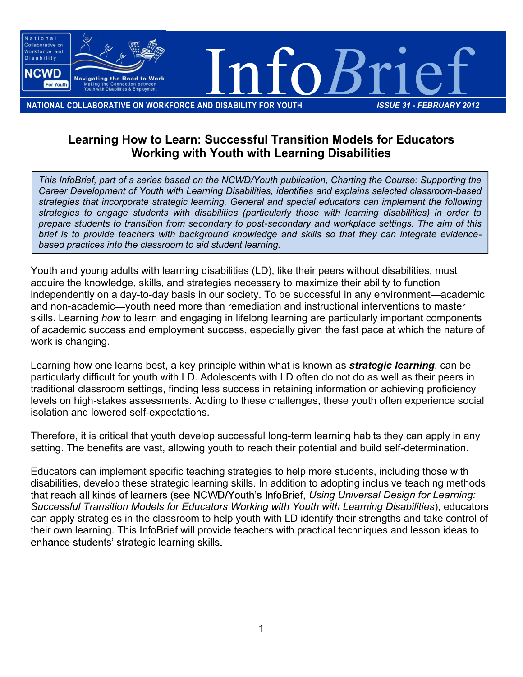

NATIONAL COLLABORATIVE ON WORKFORCE AND DISABILITY FOR YOUTH *ISSUE 31 - FEBRUARY 2012*

## Learning How to Learn: Successful Transition Models for Educators Working with Youth with Learning Disabilities

*This InfoBrief, part of a series based on the NCWD/Youth publication, Charting the Course: Supporting the Career Development of Youth with Learning Disabilities, identifies and explains selected classroom-based strategies that incorporate strategic learning. General and special educators can implement the following strategies to engage students with disabilities (particularly those with learning disabilities) in order to prepare students to transition from secondary to post-secondary and workplace settings. The aim of this brief is to provide teachers with background knowledge and skills so that they can integrate evidencebased practices into the classroom to aid student learning.*

Youth and young adults with learning disabilities (LD), like their peers without disabilities, must acquire the knowledge, skills, and strategies necessary to maximize their ability to function independently on a day-to-day basis in our society. To be successful in any environment—academic and non-academic—youth need more than remediation and instructional interventions to master skills. Learning *how* to learn and engaging in lifelong learning are particularly important components of academic success and employment success, especially given the fast pace at which the nature of work is changing.

Learning how one learns best, a key principle within what is known as *strategic learning*, can be particularly difficult for youth with LD. Adolescents with LD often do not do as well as their peers in traditional classroom settings, finding less success in retaining information or achieving proficiency levels on high-stakes assessments. Adding to these challenges, these youth often experience social isolation and lowered self-expectations.

Therefore, it is critical that youth develop successful long-term learning habits they can apply in any setting. The benefits are vast, allowing youth to reach their potential and build self-determination.

Educators can implement specific teaching strategies to help more students, including those with disabilities, develop these strategic learning skills. In addition to adopting inclusive teaching methods that reach all kinds of learners (see NCWD/Youth's InfoBrief, Using Universal Design for Learning: *Successful Transition Models for Educators Working with Youth with Learning Disabilities*), educators can apply strategies in the classroom to help youth with LD identify their strengths and take control of their own learning. This InfoBrief will provide teachers with practical techniques and lesson ideas to enhance students' strategic learning skills.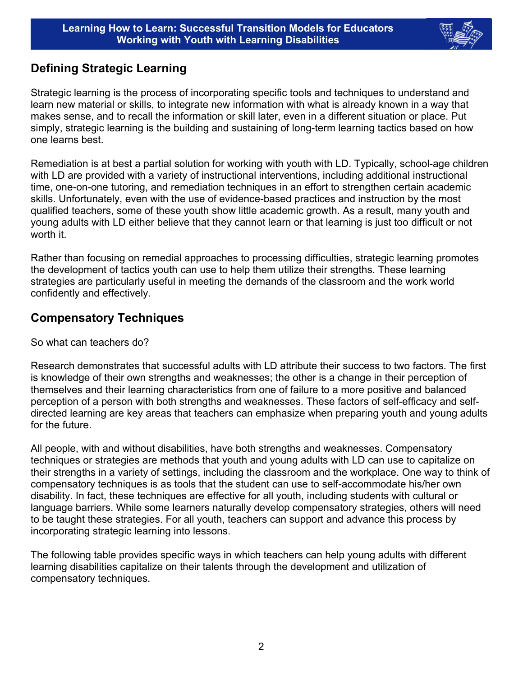

## Defining Strategic Learning

Strategic learning is the process of incorporating specific tools and techniques to understand and learn new material or skills, to integrate new information with what is already known in a way that makes sense, and to recall the information or skill later, even in a different situation or place. Put simply, strategic learning is the building and sustaining of long-term learning tactics based on how one learns best.

Remediation is at best a partial solution for working with youth with LD. Typically, school-age children with LD are provided with a variety of instructional interventions, including additional instructional time, one-on-one tutoring, and remediation techniques in an effort to strengthen certain academic skills. Unfortunately, even with the use of evidence-based practices and instruction by the most qualified teachers, some of these youth show little academic growth. As a result, many youth and young adults with LD either believe that they cannot learn or that learning is just too difficult or not worth it.

Rather than focusing on remedial approaches to processing difficulties, strategic learning promotes the development of tactics youth can use to help them utilize their strengths. These learning strategies are particularly useful in meeting the demands of the classroom and the work world confidently and effectively.

## Compensatory Techniques

So what can teachers do?

Research demonstrates that successful adults with LD attribute their success to two factors. The first is knowledge of their own strengths and weaknesses; the other is a change in their perception of themselves and their learning characteristics from one of failure to a more positive and balanced perception of a person with both strengths and weaknesses. These factors of self-efficacy and selfdirected learning are key areas that teachers can emphasize when preparing youth and young adults for the future.

All people, with and without disabilities, have both strengths and weaknesses. Compensatory techniques or strategies are methods that youth and young adults with LD can use to capitalize on their strengths in a variety of settings, including the classroom and the workplace. One way to think of compensatory techniques is as tools that the student can use to self-accommodate his/her own disability. In fact, these techniques are effective for all youth, including students with cultural or language barriers. While some learners naturally develop compensatory strategies, others will need to be taught these strategies. For all youth, teachers can support and advance this process by incorporating strategic learning into lessons.

The following table provides specific ways in which teachers can help young adults with different learning disabilities capitalize on their talents through the development and utilization of compensatory techniques.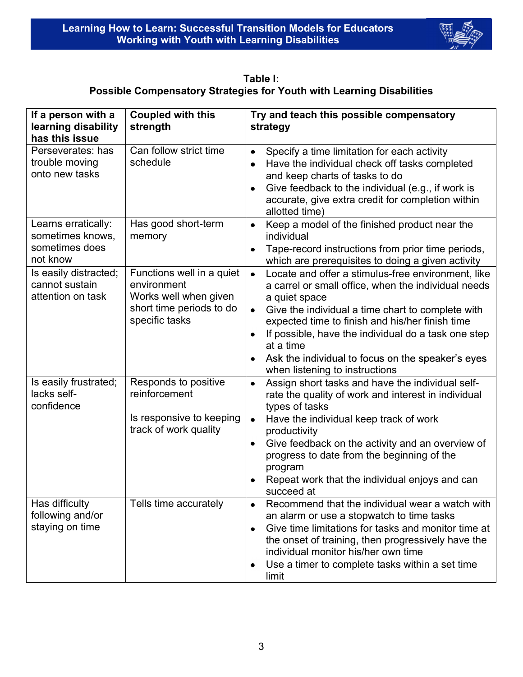

Table I: Possible Compensatory Strategies for Youth with Learning Disabilities

| If a person with a                                                       | <b>Coupled with this</b>                                                                                        | Try and teach this possible compensatory                                                                                                                                                                                                                                                                                                                                                                                                                                                  |
|--------------------------------------------------------------------------|-----------------------------------------------------------------------------------------------------------------|-------------------------------------------------------------------------------------------------------------------------------------------------------------------------------------------------------------------------------------------------------------------------------------------------------------------------------------------------------------------------------------------------------------------------------------------------------------------------------------------|
| learning disability                                                      | strength                                                                                                        | strategy                                                                                                                                                                                                                                                                                                                                                                                                                                                                                  |
| has this issue                                                           |                                                                                                                 |                                                                                                                                                                                                                                                                                                                                                                                                                                                                                           |
| Perseverates: has<br>trouble moving<br>onto new tasks                    | Can follow strict time<br>schedule                                                                              | Specify a time limitation for each activity<br>$\bullet$<br>Have the individual check off tasks completed<br>$\bullet$<br>and keep charts of tasks to do<br>Give feedback to the individual (e.g., if work is<br>$\bullet$<br>accurate, give extra credit for completion within<br>allotted time)                                                                                                                                                                                         |
| Learns erratically:<br>sometimes knows,<br>sometimes does                | Has good short-term<br>memory                                                                                   | Keep a model of the finished product near the<br>$\bullet$<br>individual<br>Tape-record instructions from prior time periods,<br>$\bullet$                                                                                                                                                                                                                                                                                                                                                |
| not know<br>Is easily distracted;<br>cannot sustain<br>attention on task | Functions well in a quiet<br>environment<br>Works well when given<br>short time periods to do<br>specific tasks | which are prerequisites to doing a given activity<br>Locate and offer a stimulus-free environment, like<br>$\bullet$<br>a carrel or small office, when the individual needs<br>a quiet space<br>Give the individual a time chart to complete with<br>$\bullet$<br>expected time to finish and his/her finish time<br>If possible, have the individual do a task one step<br>at a time<br>Ask the individual to focus on the speaker's eyes<br>$\bullet$<br>when listening to instructions |
| Is easily frustrated;<br>lacks self-<br>confidence                       | Responds to positive<br>reinforcement<br>Is responsive to keeping<br>track of work quality                      | Assign short tasks and have the individual self-<br>$\bullet$<br>rate the quality of work and interest in individual<br>types of tasks<br>Have the individual keep track of work<br>$\bullet$<br>productivity<br>Give feedback on the activity and an overview of<br>$\bullet$<br>progress to date from the beginning of the<br>program<br>Repeat work that the individual enjoys and can<br>succeed at                                                                                   |
| Has difficulty<br>following and/or<br>staying on time                    | Tells time accurately                                                                                           | Recommend that the individual wear a watch with<br>an alarm or use a stopwatch to time tasks<br>Give time limitations for tasks and monitor time at<br>$\bullet$<br>the onset of training, then progressively have the<br>individual monitor his/her own time<br>Use a timer to complete tasks within a set time<br>limit                                                                                                                                                                 |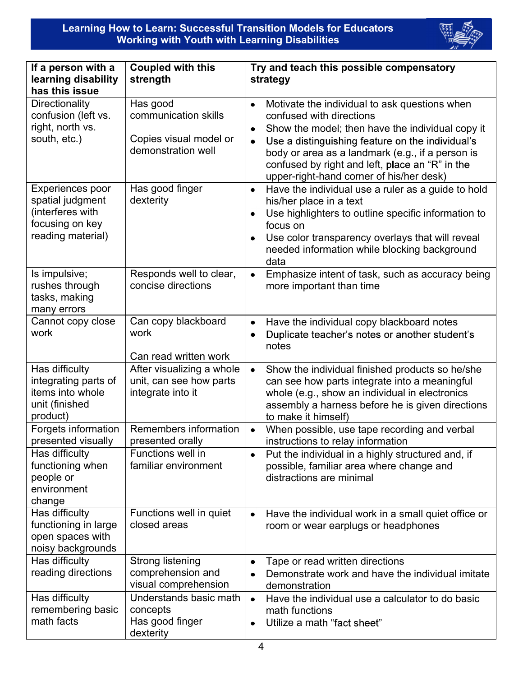

| If a person with a<br>learning disability<br>has this issue                                      | <b>Coupled with this</b><br>strength                                             | Try and teach this possible compensatory<br>strategy                                                                                                                                                                                                                                                                                                                        |  |
|--------------------------------------------------------------------------------------------------|----------------------------------------------------------------------------------|-----------------------------------------------------------------------------------------------------------------------------------------------------------------------------------------------------------------------------------------------------------------------------------------------------------------------------------------------------------------------------|--|
| <b>Directionality</b><br>confusion (left vs.<br>right, north vs.<br>south, etc.)                 | Has good<br>communication skills<br>Copies visual model or<br>demonstration well | Motivate the individual to ask questions when<br>$\bullet$<br>confused with directions<br>Show the model; then have the individual copy it<br>$\bullet$<br>Use a distinguishing feature on the individual's<br>$\bullet$<br>body or area as a landmark (e.g., if a person is<br>confused by right and left, place an "R" in the<br>upper-right-hand corner of his/her desk) |  |
| Experiences poor<br>spatial judgment<br>(interferes with<br>focusing on key<br>reading material) | Has good finger<br>dexterity                                                     | Have the individual use a ruler as a guide to hold<br>$\bullet$<br>his/her place in a text<br>Use highlighters to outline specific information to<br>٠<br>focus on<br>Use color transparency overlays that will reveal<br>needed information while blocking background<br>data                                                                                              |  |
| Is impulsive;<br>rushes through<br>tasks, making<br>many errors                                  | Responds well to clear,<br>concise directions                                    | Emphasize intent of task, such as accuracy being<br>$\bullet$<br>more important than time                                                                                                                                                                                                                                                                                   |  |
| Cannot copy close<br>work                                                                        | Can copy blackboard<br>work<br>Can read written work                             | Have the individual copy blackboard notes<br>$\bullet$<br>Duplicate teacher's notes or another student's<br>$\bullet$<br>notes                                                                                                                                                                                                                                              |  |
| Has difficulty<br>integrating parts of<br>items into whole<br>unit (finished<br>product)         | After visualizing a whole<br>unit, can see how parts<br>integrate into it        | Show the individual finished products so he/she<br>$\bullet$<br>can see how parts integrate into a meaningful<br>whole (e.g., show an individual in electronics<br>assembly a harness before he is given directions<br>to make it himself)                                                                                                                                  |  |
| Forgets information<br>presented visually                                                        | Remembers information<br>presented orally                                        | When possible, use tape recording and verbal<br>$\bullet$<br>instructions to relay information                                                                                                                                                                                                                                                                              |  |
| Has difficulty<br>functioning when<br>people or<br>environment<br>change                         | Functions well in<br>familiar environment                                        | Put the individual in a highly structured and, if<br>$\bullet$<br>possible, familiar area where change and<br>distractions are minimal                                                                                                                                                                                                                                      |  |
| Has difficulty<br>functioning in large<br>open spaces with<br>noisy backgrounds                  | Functions well in quiet<br>closed areas                                          | Have the individual work in a small quiet office or<br>$\bullet$<br>room or wear earplugs or headphones                                                                                                                                                                                                                                                                     |  |
| Has difficulty<br>reading directions                                                             | Strong listening<br>comprehension and<br>visual comprehension                    | Tape or read written directions<br>٠<br>Demonstrate work and have the individual imitate<br>٠<br>demonstration                                                                                                                                                                                                                                                              |  |
| Has difficulty<br>remembering basic<br>math facts                                                | Understands basic math<br>concepts<br>Has good finger<br>dexterity               | Have the individual use a calculator to do basic<br>$\bullet$<br>math functions<br>Utilize a math "fact sheet"                                                                                                                                                                                                                                                              |  |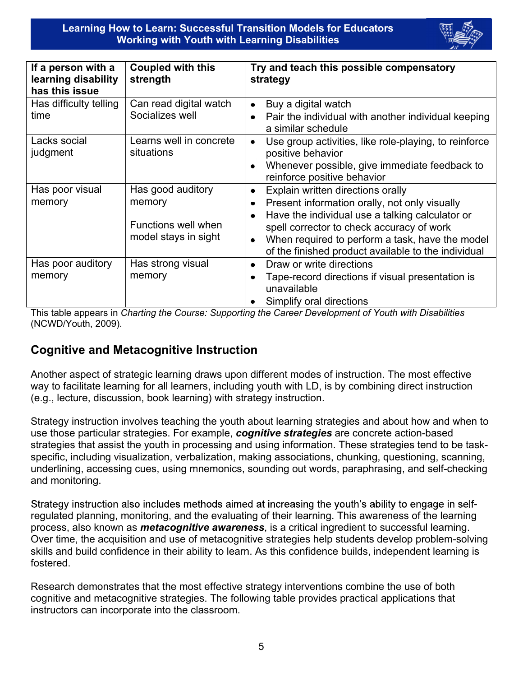Learning How to Learn: Successful Transition Models for Educators Working with Youth with Learning Disabilities



| If a person with a<br>learning disability<br>has this issue | <b>Coupled with this</b><br>strength                                       | Try and teach this possible compensatory<br>strategy                                                                                                                                                                                                                                                                        |
|-------------------------------------------------------------|----------------------------------------------------------------------------|-----------------------------------------------------------------------------------------------------------------------------------------------------------------------------------------------------------------------------------------------------------------------------------------------------------------------------|
| Has difficulty telling<br>time                              | Can read digital watch<br>Socializes well                                  | Buy a digital watch<br>$\bullet$<br>Pair the individual with another individual keeping<br>a similar schedule                                                                                                                                                                                                               |
| Lacks social<br>judgment                                    | Learns well in concrete<br>situations                                      | Use group activities, like role-playing, to reinforce<br>$\bullet$<br>positive behavior<br>Whenever possible, give immediate feedback to<br>reinforce positive behavior                                                                                                                                                     |
| Has poor visual<br>memory                                   | Has good auditory<br>memory<br>Functions well when<br>model stays in sight | Explain written directions orally<br>۰<br>Present information orally, not only visually<br>Have the individual use a talking calculator or<br>$\bullet$<br>spell corrector to check accuracy of work<br>When required to perform a task, have the model<br>$\bullet$<br>of the finished product available to the individual |
| Has poor auditory<br>memory                                 | Has strong visual<br>memory                                                | Draw or write directions<br>$\bullet$<br>Tape-record directions if visual presentation is<br>unavailable<br>Simplify oral directions                                                                                                                                                                                        |

This table appears in *Charting the Course: Supporting the Career Development of Youth with Disabilities* (NCWD/Youth, 2009).

## Cognitive and Metacognitive Instruction

Another aspect of strategic learning draws upon different modes of instruction. The most effective way to facilitate learning for all learners, including youth with LD, is by combining direct instruction (e.g., lecture, discussion, book learning) with strategy instruction.

Strategy instruction involves teaching the youth about learning strategies and about how and when to use those particular strategies. For example, *cognitive strategies* are concrete action-based strategies that assist the youth in processing and using information. These strategies tend to be taskspecific, including visualization, verbalization, making associations, chunking, questioning, scanning, underlining, accessing cues, using mnemonics, sounding out words, paraphrasing, and self-checking and monitoring.

Strategy instruction also includes methods aimed at increasing the youth's ability to engage in selfregulated planning, monitoring, and the evaluating of their learning. This awareness of the learning process, also known as *metacognitive awareness*, is a critical ingredient to successful learning. Over time, the acquisition and use of metacognitive strategies help students develop problem-solving skills and build confidence in their ability to learn. As this confidence builds, independent learning is fostered.

Research demonstrates that the most effective strategy interventions combine the use of both cognitive and metacognitive strategies. The following table provides practical applications that instructors can incorporate into the classroom.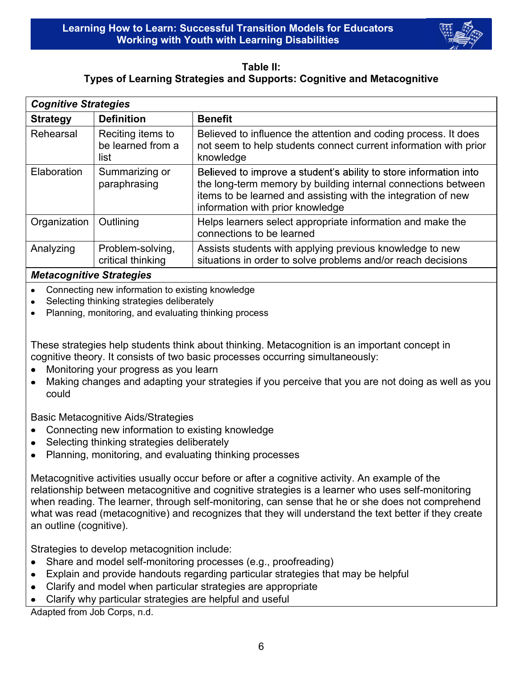#### Table II: Types of Learning Strategies and Supports: Cognitive and Metacognitive

| <b>Cognitive Strategies</b> |                                                |                                                                                                                                                                                                                                         |  |  |
|-----------------------------|------------------------------------------------|-----------------------------------------------------------------------------------------------------------------------------------------------------------------------------------------------------------------------------------------|--|--|
| <b>Strategy</b>             | <b>Definition</b>                              | <b>Benefit</b>                                                                                                                                                                                                                          |  |  |
| Rehearsal                   | Reciting items to<br>be learned from a<br>list | Believed to influence the attention and coding process. It does<br>not seem to help students connect current information with prior<br>knowledge                                                                                        |  |  |
| Elaboration                 | Summarizing or<br>paraphrasing                 | Believed to improve a student's ability to store information into<br>the long-term memory by building internal connections between<br>items to be learned and assisting with the integration of new<br>information with prior knowledge |  |  |
| Organization                | Outlining                                      | Helps learners select appropriate information and make the<br>connections to be learned                                                                                                                                                 |  |  |
| Analyzing                   | Problem-solving,<br>critical thinking          | Assists students with applying previous knowledge to new<br>situations in order to solve problems and/or reach decisions                                                                                                                |  |  |
|                             |                                                |                                                                                                                                                                                                                                         |  |  |

#### *Metacognitive Strategies*

- Connecting new information to existing knowledge  $\bullet$
- Selecting thinking strategies deliberately  $\bullet$
- Planning, monitoring, and evaluating thinking process  $\bullet$

These strategies help students think about thinking. Metacognition is an important concept in cognitive theory. It consists of two basic processes occurring simultaneously:

- Monitoring your progress as you learn  $\bullet$
- Making changes and adapting your strategies if you perceive that you are not doing as well as you  $\bullet$ could

Basic Metacognitive Aids/Strategies

- Connecting new information to existing knowledge  $\bullet$
- Selecting thinking strategies deliberately  $\bullet$
- Planning, monitoring, and evaluating thinking processes  $\bullet$

Metacognitive activities usually occur before or after a cognitive activity. An example of the relationship between metacognitive and cognitive strategies is a learner who uses self-monitoring when reading. The learner, through self-monitoring, can sense that he or she does not comprehend what was read (metacognitive) and recognizes that they will understand the text better if they create an outline (cognitive).

Strategies to develop metacognition include:

- Share and model self-monitoring processes (e.g., proofreading)  $\bullet$
- Explain and provide handouts regarding particular strategies that may be helpful  $\bullet$
- Clarify and model when particular strategies are appropriate  $\bullet$
- Clarify why particular strategies are helpful and useful  $\bullet$

Adapted from Job Corps, n.d.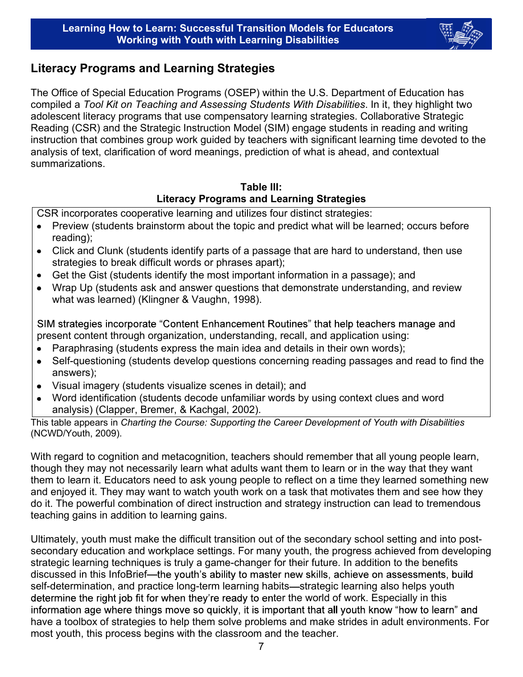

## Literacy Programs and Learning Strategies

The Office of Special Education Programs (OSEP) within the U.S. Department of Education has compiled a *Tool Kit on Teaching and Assessing Students With Disabilities*. In it, they highlight two adolescent literacy programs that use compensatory learning strategies. Collaborative Strategic Reading (CSR) and the Strategic Instruction Model (SIM) engage students in reading and writing instruction that combines group work guided by teachers with significant learning time devoted to the analysis of text, clarification of word meanings, prediction of what is ahead, and contextual summarizations.

### Table III: Literacy Programs and Learning Strategies

CSR incorporates cooperative learning and utilizes four distinct strategies:

- Preview (students brainstorm about the topic and predict what will be learned; occurs before reading);
- Click and Clunk (students identify parts of a passage that are hard to understand, then use  $\bullet$ strategies to break difficult words or phrases apart);
- Get the Gist (students identify the most important information in a passage); and  $\bullet$
- Wrap Up (students ask and answer questions that demonstrate understanding, and review  $\bullet$ what was learned) (Klingner & Vaughn, 1998).

SIM strategies incorporate "Content Enhancement Routines" that help teachers manage and present content through organization, understanding, recall, and application using:

- Paraphrasing (students express the main idea and details in their own words);  $\bullet$
- Self-questioning (students develop questions concerning reading passages and read to find the  $\bullet$ answers);
- Visual imagery (students visualize scenes in detail); and  $\bullet$
- Word identification (students decode unfamiliar words by using context clues and word  $\bullet$ analysis) (Clapper, Bremer, & Kachgal, 2002).

This table appears in *Charting the Course: Supporting the Career Development of Youth with Disabilities* (NCWD/Youth, 2009).

With regard to cognition and metacognition, teachers should remember that all young people learn, though they may not necessarily learn what adults want them to learn or in the way that they want them to learn it. Educators need to ask young people to reflect on a time they learned something new and enjoyed it. They may want to watch youth work on a task that motivates them and see how they do it. The powerful combination of direct instruction and strategy instruction can lead to tremendous teaching gains in addition to learning gains.

Ultimately, youth must make the difficult transition out of the secondary school setting and into postsecondary education and workplace settings. For many youth, the progress achieved from developing strategic learning techniques is truly a game-changer for their future. In addition to the benefits discussed in this InfoBrief—the youth's ability to master new skills, achieve on assessments, build self-determination, and practice long-term learning habits—strategic learning also helps youth determine the right job fit for when they're ready to enter the world of work. Especially in this information age where things move so quickly, it is important that all youth know "how to learn" and have a toolbox of strategies to help them solve problems and make strides in adult environments. For most youth, this process begins with the classroom and the teacher.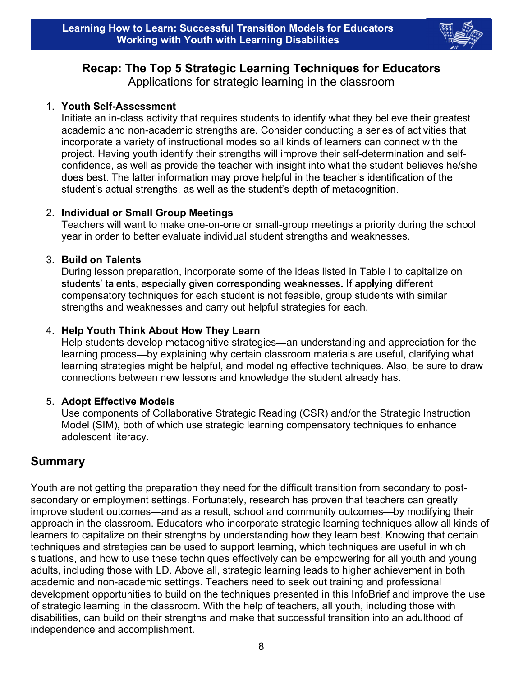

# Recap: The Top 5 Strategic Learning Techniques for Educators

Applications for strategic learning in the classroom

### 1. Youth Self-Assessment

Initiate an in-class activity that requires students to identify what they believe their greatest academic and non-academic strengths are. Consider conducting a series of activities that incorporate a variety of instructional modes so all kinds of learners can connect with the project. Having youth identify their strengths will improve their self-determination and selfconfidence, as well as provide the teacher with insight into what the student believes he/she does best. The latter information may prove helpful in the teacher's identification of the student's actual strengths, as well as the student's depth of metacognition.

### 2. Individual or Small Group Meetings

Teachers will want to make one-on-one or small-group meetings a priority during the school year in order to better evaluate individual student strengths and weaknesses.

### 3. Build on Talents

During lesson preparation, incorporate some of the ideas listed in Table I to capitalize on students' talents, especially given corresponding weaknesses. If applying different compensatory techniques for each student is not feasible, group students with similar strengths and weaknesses and carry out helpful strategies for each.

### 4. Help Youth Think About How They Learn

Help students develop metacognitive strategies—an understanding and appreciation for the learning process-by explaining why certain classroom materials are useful, clarifying what learning strategies might be helpful, and modeling effective techniques. Also, be sure to draw connections between new lessons and knowledge the student already has.

### 5. Adopt Effective Models

Use components of Collaborative Strategic Reading (CSR) and/or the Strategic Instruction Model (SIM), both of which use strategic learning compensatory techniques to enhance adolescent literacy.

## Summary

Youth are not getting the preparation they need for the difficult transition from secondary to postsecondary or employment settings. Fortunately, research has proven that teachers can greatly improve student outcomes—and as a result, school and community outcomes—by modifying their approach in the classroom. Educators who incorporate strategic learning techniques allow all kinds of learners to capitalize on their strengths by understanding how they learn best. Knowing that certain techniques and strategies can be used to support learning, which techniques are useful in which situations, and how to use these techniques effectively can be empowering for all youth and young adults, including those with LD. Above all, strategic learning leads to higher achievement in both academic and non-academic settings. Teachers need to seek out training and professional development opportunities to build on the techniques presented in this InfoBrief and improve the use of strategic learning in the classroom. With the help of teachers, all youth, including those with disabilities, can build on their strengths and make that successful transition into an adulthood of independence and accomplishment.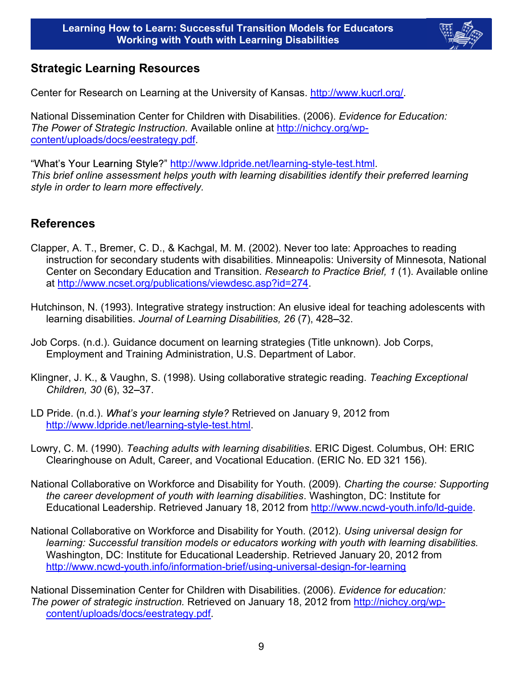

## Strategic Learning Resources

Center for Research on Learning at the University of Kansas. http://www.kucrl.org/.

National Dissemination Center for Children with Disabilities. (2006). *Evidence for Education: The Power of Strategic Instruction.* Available online at http://nichcy.org/wpcontent/uploads/docs/eestrategy.pdf.

"What's Your Learning Style?" http://www.ldpride.net/learning-style-test.html. *This brief online assessment helps youth with learning disabilities identify their preferred learning style in order to learn more effectively.*

## References

- Clapper, A. T., Bremer, C. D., & Kachgal, M. M. (2002). Never too late: Approaches to reading instruction for secondary students with disabilities. Minneapolis: University of Minnesota, National Center on Secondary Education and Transition. *Research to Practice Brief, 1* (1). Available online at http://www.ncset.org/publications/viewdesc.asp?id=274.
- Hutchinson, N. (1993). Integrative strategy instruction: An elusive ideal for teaching adolescents with learning disabilities. *Journal of Learning Disabilities*, 26(7), 428–32.
- Job Corps. (n.d.). Guidance document on learning strategies (Title unknown). Job Corps, Employment and Training Administration, U.S. Department of Labor.
- Klingner, J. K., & Vaughn, S. (1998). Using collaborative strategic reading. *Teaching Exceptional Children, 30 (6), 32-37.*
- LD Pride. (n.d.). What's your learning style? Retrieved on January 9, 2012 from http://www.ldpride.net/learning-style-test.html.
- Lowry, C. M. (1990). *Teaching adults with learning disabilities*. ERIC Digest. Columbus, OH: ERIC Clearinghouse on Adult, Career, and Vocational Education. (ERIC No. ED 321 156).
- National Collaborative on Workforce and Disability for Youth. (2009). *Charting the course: Supporting the career development of youth with learning disabilities*. Washington, DC: Institute for Educational Leadership. Retrieved January 18, 2012 from http://www.ncwd-youth.info/ld-guide.
- National Collaborative on Workforce and Disability for Youth. (2012). *Using universal design for learning: Successful transition models or educators working with youth with learning disabilities.*  Washington, DC: Institute for Educational Leadership. Retrieved January 20, 2012 from http://www.ncwd-youth.info/information-brief/using-universal-design-for-learning

National Dissemination Center for Children with Disabilities. (2006). *Evidence for education: The power of strategic instruction.* Retrieved on January 18, 2012 from http://nichcy.org/wpcontent/uploads/docs/eestrategy.pdf.